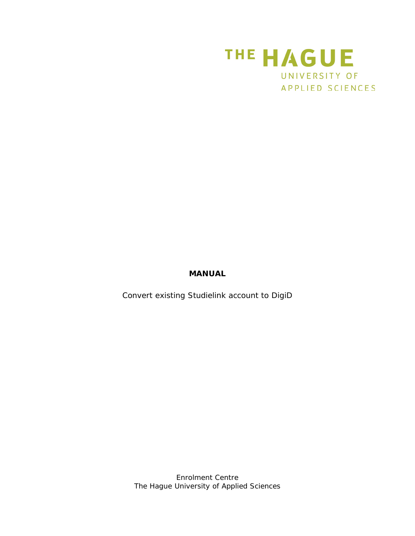

## **MANUAL**

Convert existing Studielink account to DigiD

*Enrolment Centre The Hague University of Applied Sciences*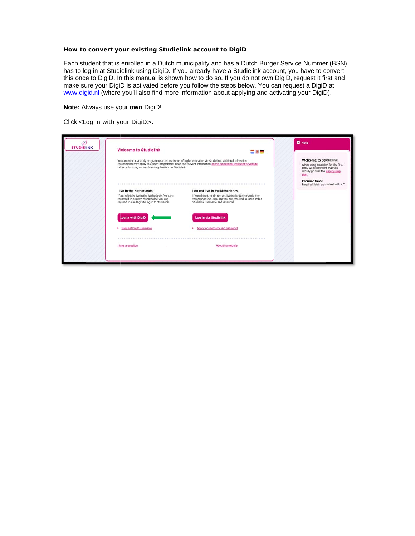## How to convert your existing Studielink account to DigiD

Each student that is enrolled in a Dutch municipality and has a Dutch Burger Service Nummer (BSN), has to log in at Studielink using DigiD. If you already have a Studielink account, you have to convert this once to DigiD. In this manual is shown how to do so. If you do not own DigiD, request it first and make sure your DigiD is activated before you follow the steps below. You can request a DigiD at www.digid.nl (where you'll also find more information about applying and activating your DigiD).

## **Note:** Always use your own DigiD!

Click <Log in with your DigiD>.

| <b>Welcome to Studielink</b><br>You can enrol in a study programme at an institution of higher education via Studielink. Additional admission<br>requirements may apply to a study programme. Read the relevant information on the edicational institution's website<br>before submitting an enrolment application via Studielink,<br>time, we recommend that you<br>plan.<br><b>Required fields</b><br>I Ive in the Netherlands<br>I do not live in the Netherlands<br>If you officially live in the Netherlands (you are<br>If you do not, or do not yet, live in the Netherlands, then<br>registered in a Dutch municipalty) you are<br>you cannot use DigiD and you are required to log in wth a<br>required to use DigiD to log in to Studielink.<br>Studielink username and password.<br>Log in via Studielink<br>Log in with DigiD<br>Request DigiD username<br>Apply for username and password<br>About this website<br>I have a question | ලා<br><b>STUDIELINK</b> | <b>Welcome to Studielink</b> | 三美一 | <b>E</b> Help                                                             |
|---------------------------------------------------------------------------------------------------------------------------------------------------------------------------------------------------------------------------------------------------------------------------------------------------------------------------------------------------------------------------------------------------------------------------------------------------------------------------------------------------------------------------------------------------------------------------------------------------------------------------------------------------------------------------------------------------------------------------------------------------------------------------------------------------------------------------------------------------------------------------------------------------------------------------------------------------|-------------------------|------------------------------|-----|---------------------------------------------------------------------------|
|                                                                                                                                                                                                                                                                                                                                                                                                                                                                                                                                                                                                                                                                                                                                                                                                                                                                                                                                                   |                         |                              |     | When using Studielink for the first<br>initially go over the step-by-step |
|                                                                                                                                                                                                                                                                                                                                                                                                                                                                                                                                                                                                                                                                                                                                                                                                                                                                                                                                                   |                         |                              |     | Required fields are marked with a *                                       |
|                                                                                                                                                                                                                                                                                                                                                                                                                                                                                                                                                                                                                                                                                                                                                                                                                                                                                                                                                   |                         |                              |     |                                                                           |
|                                                                                                                                                                                                                                                                                                                                                                                                                                                                                                                                                                                                                                                                                                                                                                                                                                                                                                                                                   |                         |                              |     |                                                                           |
|                                                                                                                                                                                                                                                                                                                                                                                                                                                                                                                                                                                                                                                                                                                                                                                                                                                                                                                                                   |                         |                              |     |                                                                           |
|                                                                                                                                                                                                                                                                                                                                                                                                                                                                                                                                                                                                                                                                                                                                                                                                                                                                                                                                                   |                         |                              |     |                                                                           |
|                                                                                                                                                                                                                                                                                                                                                                                                                                                                                                                                                                                                                                                                                                                                                                                                                                                                                                                                                   |                         |                              |     |                                                                           |
|                                                                                                                                                                                                                                                                                                                                                                                                                                                                                                                                                                                                                                                                                                                                                                                                                                                                                                                                                   |                         |                              |     |                                                                           |
|                                                                                                                                                                                                                                                                                                                                                                                                                                                                                                                                                                                                                                                                                                                                                                                                                                                                                                                                                   |                         |                              |     |                                                                           |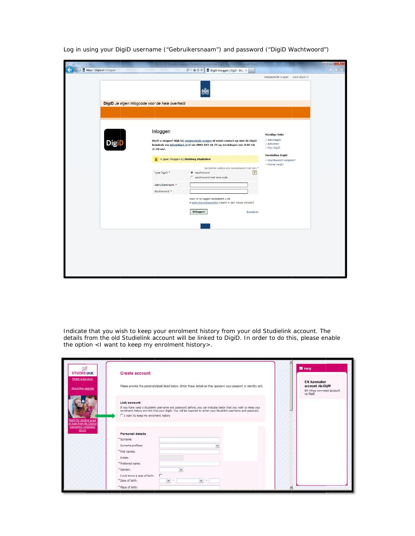|                                                |                         |                                                                                                                                                            |                                                    | $  x$ |
|------------------------------------------------|-------------------------|------------------------------------------------------------------------------------------------------------------------------------------------------------|----------------------------------------------------|-------|
| https://digid.nl/inloggen                      |                         | $\rho - \triangle c \times$<br>DigiD: Inloggen   DigiD - Inl X                                                                                             |                                                    | 合欢登   |
|                                                |                         |                                                                                                                                                            | Veelgestelde vragen www.digid.nl                   |       |
|                                                |                         |                                                                                                                                                            |                                                    |       |
| DigiD Je eigen inlogcode voor de hele overheid |                         |                                                                                                                                                            |                                                    |       |
|                                                |                         |                                                                                                                                                            |                                                    |       |
| <b>DigiD</b>                                   | Inloggen                | Heeft u vragen? Kijk bij veelgestelde vragen of neem contact op met de DigiD<br>helpdesk via info@digid.nl of via 0800 023 04 35 op werkdagen van 8.00 tot | <b>Handige links</b><br>> Aanvragen<br>> Activeren |       |
|                                                | 22.00 uur.              |                                                                                                                                                            | > Mijn DigiD                                       |       |
|                                                |                         | i U gaat inloggen bij Stichting Studielink                                                                                                                 | <b>Herstellen DigiD</b><br>> Wachtwoord vergeten?  |       |
|                                                |                         | Verplichte velden zijn gemarkeerd met een *                                                                                                                | > Mobiel kwijt?                                    |       |
|                                                | Type DigiD <sup>*</sup> | $\overline{?}$<br>◎ wachtwoord<br>C wachtwoord met sms-code                                                                                                |                                                    |       |
|                                                | Gebruikersnaam *        |                                                                                                                                                            |                                                    |       |
|                                                | Wachtwoord *            |                                                                                                                                                            |                                                    |       |
|                                                |                         | Door in te loggen accepteert u de<br>L' gebruiksvoorwaarden [opent in een nieuw venster]                                                                   |                                                    |       |
|                                                |                         | Inloggen<br>Annuleren                                                                                                                                      |                                                    |       |
|                                                |                         |                                                                                                                                                            |                                                    |       |
|                                                |                         |                                                                                                                                                            |                                                    |       |
|                                                |                         |                                                                                                                                                            |                                                    |       |
|                                                |                         |                                                                                                                                                            |                                                    |       |
|                                                |                         |                                                                                                                                                            |                                                    |       |
|                                                |                         |                                                                                                                                                            |                                                    |       |
|                                                |                         |                                                                                                                                                            |                                                    |       |

Log in using your DigiD username ("Gebruikersnaam") and password ("DigiD Wachtwoord")

Indicate that you wish to keep your enrolment history from your old Studielink account. The details from the old Studielink account will be linked to DigiD. In order to do this, please enable the option <1 want to keep my enrolment history>.

| ඐ<br><b>STUDIELINK</b>                                                                                                                           | <b>Create account</b>                                                                                                                                                                                                                                                                    | <b>E</b> Help                                                                      |
|--------------------------------------------------------------------------------------------------------------------------------------------------|------------------------------------------------------------------------------------------------------------------------------------------------------------------------------------------------------------------------------------------------------------------------------------------|------------------------------------------------------------------------------------|
| <b>Lhave a question</b><br>About this website<br>Apply for student grant<br>or loan from the Dienst<br><b>Ultvoering Onderwijs</b><br><b>OUO</b> | Please provide the personal details listed below. Enter these details as they appear in your passport or identity card.                                                                                                                                                                  | <b>EN Aanmaken</b><br>account via DigiD<br>EN Ultleg aanmaken account<br>via DigiD |
|                                                                                                                                                  | Link account<br>If you have used a Studielink usemame and password before, you can indicate below that you wish to keep your<br>enrolment history and link it to your DigiD. You will be required to enter your Studielink usemame and password.<br>□ I want to keep my enroment history |                                                                                    |
|                                                                                                                                                  | <b>Personal details</b><br>* Surname:<br>Surname prefixes:<br>* First names:                                                                                                                                                                                                             |                                                                                    |
|                                                                                                                                                  | Initials:<br>* Preferred name:<br>$\ddot{\phantom{0}}$<br>* Gender:<br>I only know a year of birth:<br>×                                                                                                                                                                                 |                                                                                    |
|                                                                                                                                                  | * Date of birth:<br>v.<br>$\checkmark$<br>* Place of birth:                                                                                                                                                                                                                              | ×                                                                                  |